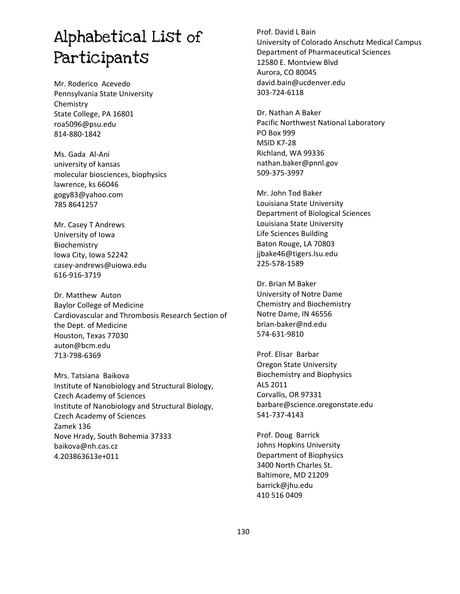# Alphabetical List of Participants

Mr. Roderico Acevedo Pennsylvania State University Chemistry State College, PA 16801 roa5096@psu.edu 814-880-1842

Ms. Gada Al-Ani university of kansas molecular biosciences, biophysics lawrence, ks 66046 gogy83@yahoo.com 785 8641257

Mr. Casey T Andrews University of Iowa Biochemistry Iowa City, Iowa 52242 casey-andrews@uiowa.edu 616-916-3719

Dr. Matthew Auton Baylor College of Medicine Cardiovascular and Thrombosis Research Section of the Dept. of Medicine Houston, Texas 77030 auton@bcm.edu 713-798-6369

Mrs. Tatsiana Baikova Institute of Nanobiology and Structural Biology, Czech Academy of Sciences Institute of Nanobiology and Structural Biology, Czech Academy of Sciences Zamek 136 Nove Hrady, South Bohemia 37333 baikova@nh.cas.cz 4.203863613e+011

# Prof. David L Bain University of Colorado Anschutz Medical Campus Department of Pharmaceutical Sciences 12580 E. Montview Blvd Aurora, CO 80045 david.bain@ucdenver.edu 303-724-6118

Dr. Nathan A Baker Pacific Northwest National Laboratory PO Box 999 **MSID K7-28** Richland, WA 99336 nathan.baker@pnnl.gov 509-375-3997

Mr. John Tod Baker Louisiana State University Department of Biological Sciences Louisiana State University Life Sciences Building Baton Rouge, LA 70803 jjbake46@tigers.lsu.edu 225-578-1589

Dr. Brian M Baker University of Notre Dame Chemistry and Biochemistry Notre Dame, IN 46556 brian-baker@nd.edu 574Ͳ631Ͳ9810

Prof. Elisar Barbar Oregon State University Biochemistry and Biophysics ALS 2011 Corvallis, OR 97331 barbare@science.oregonstate.edu 541-737-4143

Prof. Doug Barrick Johns Hopkins University Department of Biophysics 3400 North Charles St. Baltimore, MD 21209 barrick@jhu.edu 410 516 0409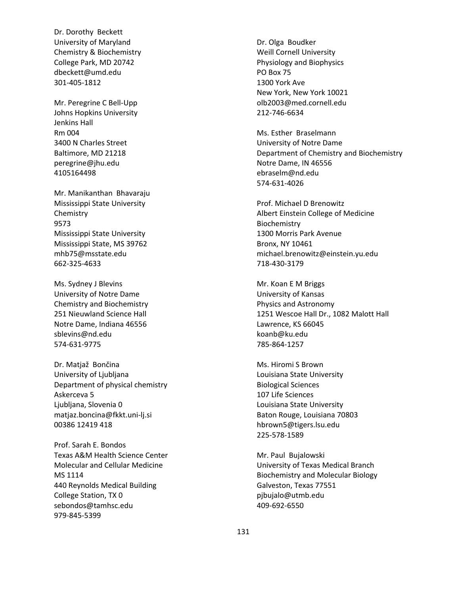Dr. Dorothy Beckett University of Maryland Chemistry & Biochemistry College Park, MD 20742 dbeckett@umd.edu 301-405-1812

Mr. Peregrine C Bell-Upp Johns Hopkins University Jenkins Hall Rm 004 3400 N Charles Street Baltimore, MD 21218 peregrine@jhu.edu 4105164498

Mr. Manikanthan Bhavaraju Mississippi State University Chemistry 9573 Mississippi State University Mississippi State, MS 39762 mhb75@msstate.edu 662-325-4633

Ms. Sydney J Blevins University of Notre Dame Chemistry and Biochemistry 251 Nieuwland Science Hall Notre Dame, Indiana 46556 sblevins@nd.edu 574-631-9775

Dr. Matjaž Bončina University of Ljubljana Department of physical chemistry Askerceva 5 Ljubljana, Slovenia 0 matjaz.boncina@fkkt.uni-lj.si 00386 12419 418

Prof. Sarah E. Bondos Texas A&M Health Science Center Molecular and Cellular Medicine MS 1114 440 Reynolds Medical Building College Station, TX 0 sebondos@tamhsc.edu 979-845-5399

Dr. Olga Boudker Weill Cornell University Physiology and Biophysics PO Box 75 1300 York Ave New York, New York 10021 olb2003@med.cornell.edu 212-746-6634

Ms. Esther Braselmann University of Notre Dame Department of Chemistry and Biochemistry Notre Dame, IN 46556 ebraselm@nd.edu 574-631-4026

Prof. Michael D Brenowitz Albert Einstein College of Medicine Biochemistry 1300 Morris Park Avenue Bronx, NY 10461 michael.brenowitz@einstein.yu.edu 718Ͳ430Ͳ3179

Mr. Koan E M Briggs University of Kansas Physics and Astronomy 1251 Wescoe Hall Dr., 1082 Malott Hall Lawrence, KS 66045 koanb@ku.edu 785Ͳ864Ͳ1257

Ms. Hiromi S Brown Louisiana State University Biological Sciences 107 Life Sciences Louisiana State University Baton Rouge, Louisiana 70803 hbrown5@tigers.lsu.edu 225-578-1589

Mr. Paul Bujalowski University of Texas Medical Branch Biochemistry and Molecular Biology Galveston, Texas 77551 pjbujalo@utmb.edu 409-692-6550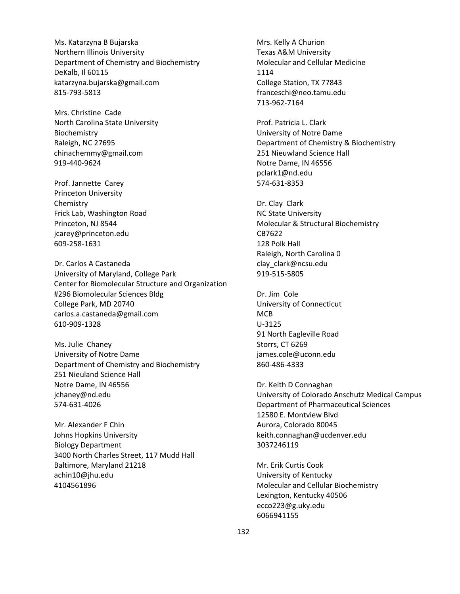Ms. Katarzyna B Bujarska Northern Illinois University Department of Chemistry and Biochemistry DeKalb, Il 60115 katarzyna.bujarska@gmail.com 815-793-5813

Mrs. Christine Cade North Carolina State University Biochemistry Raleigh, NC 27695 chinachemmy@gmail.com 919-440-9624

Prof. Jannette Carey Princeton University Chemistry Frick Lab, Washington Road Princeton, NJ 8544 jcarey@princeton.edu 609-258-1631

Dr. Carlos A Castaneda University of Maryland, College Park Center for Biomolecular Structure and Organization #296 Biomolecular Sciences Bldg College Park, MD 20740 carlos.a.castaneda@gmail.com 610-909-1328

Ms. Julie Chaney University of Notre Dame Department of Chemistry and Biochemistry 251 Nieuland Science Hall Notre Dame, IN 46556 jchaney@nd.edu 574-631-4026

Mr. Alexander F Chin Johns Hopkins University Biology Department 3400 North Charles Street, 117 Mudd Hall Baltimore, Maryland 21218 achin10@jhu.edu 4104561896

Mrs. Kelly A Churion Texas A&M University Molecular and Cellular Medicine 1114 College Station, TX 77843 franceschi@neo.tamu.edu 713-962-7164

Prof. Patricia L. Clark University of Notre Dame Department of Chemistry & Biochemistry 251 Nieuwland Science Hall Notre Dame, IN 46556 pclark1@nd.edu 574-631-8353

Dr. Clay Clark NC State University Molecular & Structural Biochemistry CB7622 128 Polk Hall Raleigh, North Carolina 0 clay\_clark@ncsu.edu 919-515-5805

Dr. Jim Cole University of Connecticut **MCB** U-3125 91 North Eagleville Road Storrs, CT 6269 james.cole@uconn.edu 860-486-4333

Dr. Keith D Connaghan University of Colorado Anschutz Medical Campus Department of Pharmaceutical Sciences 12580 E. Montview Blvd Aurora, Colorado 80045 keith.connaghan@ucdenver.edu 3037246119

Mr. Erik Curtis Cook University of Kentucky Molecular and Cellular Biochemistry Lexington, Kentucky 40506 ecco223@g.uky.edu 6066941155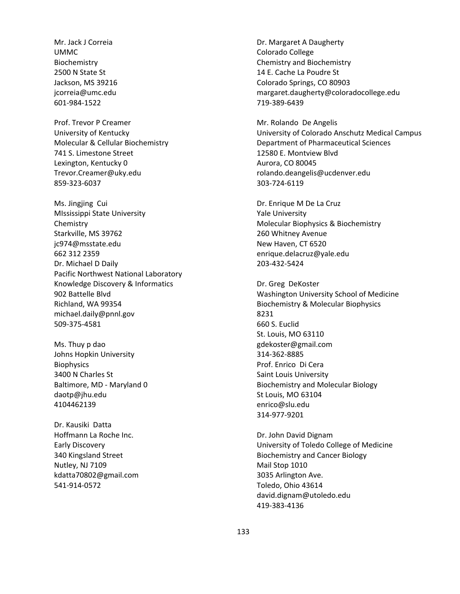Mr. Jack J Correia UMMC Biochemistry 2500 N State St Jackson, MS 39216 jcorreia@umc.edu 601-984-1522

Prof. Trevor P Creamer University of Kentucky Molecular & Cellular Biochemistry 741 S. Limestone Street Lexington, Kentucky 0 Trevor.Creamer@uky.edu 859-323-6037

Ms. Jingjing Cui MIssissippi State University Chemistry Starkville, MS 39762 jc974@msstate.edu 662 312 2359 Dr. Michael D Daily Pacific Northwest National Laboratory Knowledge Discovery & Informatics 902 Battelle Blvd Richland, WA 99354 michael.daily@pnnl.gov 509-375-4581

Ms. Thuy p dao Johns Hopkin University **Biophysics** 3400 N Charles St Baltimore, MD - Maryland 0 daotp@jhu.edu 4104462139

Dr. Kausiki Datta Hoffmann La Roche Inc. Early Discovery 340 Kingsland Street Nutley, NJ 7109 kdatta70802@gmail.com 541-914-0572

Dr. Margaret A Daugherty Colorado College Chemistry and Biochemistry 14 E. Cache La Poudre St Colorado Springs, CO 80903 margaret.daugherty@coloradocollege.edu 719-389-6439

Mr. Rolando De Angelis University of Colorado Anschutz Medical Campus Department of Pharmaceutical Sciences 12580 E. Montview Blvd Aurora, CO 80045 rolando.deangelis@ucdenver.edu 303-724-6119

Dr. Enrique M De La Cruz Yale University Molecular Biophysics & Biochemistry 260 Whitney Avenue New Haven, CT 6520 enrique.delacruz@yale.edu 203Ͳ432Ͳ5424

Dr. Greg DeKoster Washington University School of Medicine Biochemistry & Molecular Biophysics 8231 660 S. Euclid St. Louis, MO 63110 gdekoster@gmail.com 314-362-8885 Prof. Enrico Di Cera Saint Louis University Biochemistry and Molecular Biology St Louis, MO 63104 enrico@slu.edu 314-977-9201

Dr. John David Dignam University of Toledo College of Medicine Biochemistry and Cancer Biology Mail Stop 1010 3035 Arlington Ave. Toledo, Ohio 43614 david.dignam@utoledo.edu 419-383-4136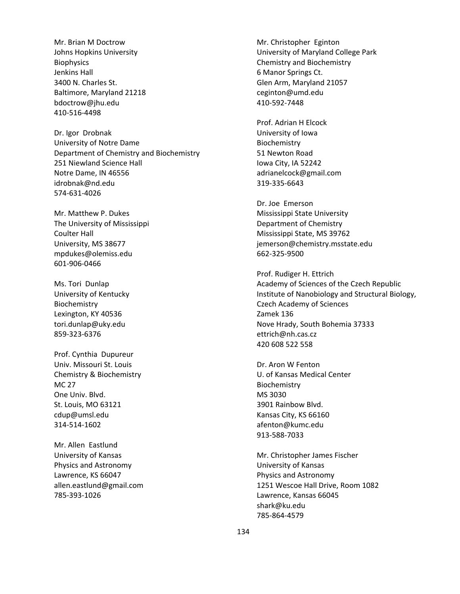Mr. Brian M Doctrow Johns Hopkins University **Biophysics** Jenkins Hall 3400 N. Charles St. Baltimore, Maryland 21218 bdoctrow@jhu.edu 410-516-4498

Dr. Igor Drobnak University of Notre Dame Department of Chemistry and Biochemistry 251 Niewland Science Hall Notre Dame, IN 46556 idrobnak@nd.edu 574-631-4026

Mr. Matthew P. Dukes The University of Mississippi Coulter Hall University, MS 38677 mpdukes@olemiss.edu 601-906-0466

Ms. Tori Dunlap University of Kentucky Biochemistry Lexington, KY 40536 tori.dunlap@uky.edu 859-323-6376

Prof. Cynthia Dupureur Univ. Missouri St. Louis Chemistry & Biochemistry MC 27 One Univ. Blvd. St. Louis, MO 63121 cdup@umsl.edu 314-514-1602

Mr. Allen Eastlund University of Kansas Physics and Astronomy Lawrence, KS 66047 allen.eastlund@gmail.com 785Ͳ393Ͳ1026

Mr. Christopher Eginton University of Maryland College Park Chemistry and Biochemistry 6 Manor Springs Ct. Glen Arm, Maryland 21057 ceginton@umd.edu 410-592-7448

Prof. Adrian H Elcock University of Iowa Biochemistry 51 Newton Road Iowa City, IA 52242 adrianelcock@gmail.com 319-335-6643

Dr. Joe Emerson Mississippi State University Department of Chemistry Mississippi State, MS 39762 jemerson@chemistry.msstate.edu 662-325-9500

Prof. Rudiger H. Ettrich Academy of Sciences of the Czech Republic Institute of Nanobiology and Structural Biology, Czech Academy of Sciences Zamek 136 Nove Hrady, South Bohemia 37333 ettrich@nh.cas.cz 420 608 522 558

Dr. Aron W Fenton U. of Kansas Medical Center Biochemistry MS 3030 3901 Rainbow Blvd. Kansas City, KS 66160 afenton@kumc.edu 913-588-7033

Mr. Christopher James Fischer University of Kansas Physics and Astronomy 1251 Wescoe Hall Drive, Room 1082 Lawrence, Kansas 66045 shark@ku.edu 785Ͳ864Ͳ4579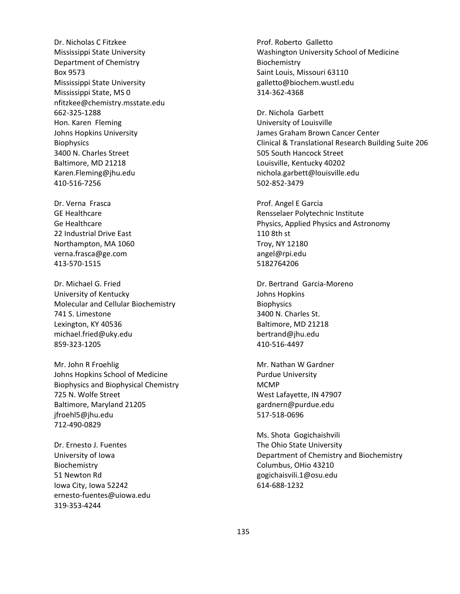Dr. Nicholas C Fitzkee Mississippi State University Department of Chemistry Box 9573 Mississippi State University Mississippi State, MS 0 nfitzkee@chemistry.msstate.edu 662-325-1288 Hon. Karen Fleming Johns Hopkins University **Biophysics** 3400 N. Charles Street Baltimore, MD 21218 Karen.Fleming@jhu.edu 410-516-7256

Dr. Verna Frasca GE Healthcare Ge Healthcare 22 Industrial Drive East Northampton, MA 1060 verna.frasca@ge.com 413-570-1515

Dr. Michael G. Fried University of Kentucky Molecular and Cellular Biochemistry 741 S. Limestone Lexington, KY 40536 michael.fried@uky.edu 859-323-1205

Mr. John R Froehlig Johns Hopkins School of Medicine Biophysics and Biophysical Chemistry 725 N. Wolfe Street Baltimore, Maryland 21205 jfroehl5@jhu.edu 712Ͳ490Ͳ0829

Dr. Ernesto J. Fuentes University of Iowa Biochemistry 51 Newton Rd Iowa City, Iowa 52242 ernesto-fuentes@uiowa.edu 319-353-4244

Prof. Roberto Galletto Washington University School of Medicine Biochemistry Saint Louis, Missouri 63110 galletto@biochem.wustl.edu 314-362-4368

Dr. Nichola Garbett University of Louisville James Graham Brown Cancer Center Clinical & Translational Research Building Suite 206 505 South Hancock Street Louisville, Kentucky 40202 nichola.garbett@louisville.edu 502-852-3479

Prof. Angel E Garcia Rensselaer Polytechnic Institute Physics, Applied Physics and Astronomy 110 8th st Troy, NY 12180 angel@rpi.edu 5182764206

Dr. Bertrand Garcia-Moreno Johns Hopkins **Biophysics** 3400 N. Charles St. Baltimore, MD 21218 bertrand@jhu.edu 410-516-4497

Mr. Nathan W Gardner Purdue University MCMP West Lafayette, IN 47907 gardnern@purdue.edu 517-518-0696

Ms. Shota Gogichaishvili The Ohio State University Department of Chemistry and Biochemistry Columbus, OHio 43210 gogichaisvili.1@osu.edu 614-688-1232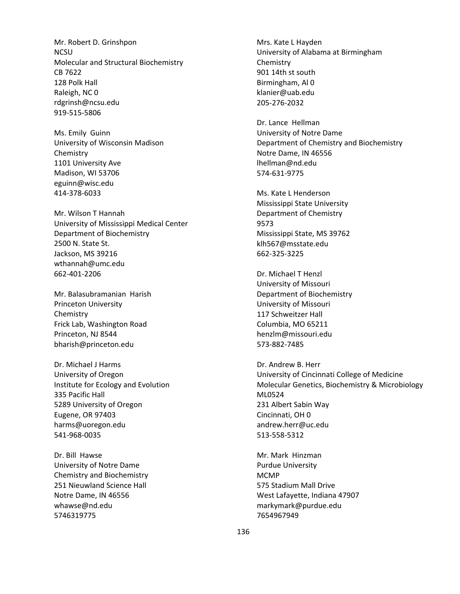Mr. Robert D. Grinshpon NCSU Molecular and Structural Biochemistry CB 7622 128 Polk Hall Raleigh, NC 0 rdgrinsh@ncsu.edu 919-515-5806

Ms. Emily Guinn University of Wisconsin Madison Chemistry 1101 University Ave Madison, WI 53706 eguinn@wisc.edu 414-378-6033

Mr. Wilson T Hannah University of Mississippi Medical Center Department of Biochemistry 2500 N. State St. Jackson, MS 39216 wthannah@umc.edu 662-401-2206

Mr. Balasubramanian Harish Princeton University Chemistry Frick Lab, Washington Road Princeton, NJ 8544 bharish@princeton.edu

Dr. Michael J Harms University of Oregon Institute for Ecology and Evolution 335 Pacific Hall 5289 University of Oregon Eugene, OR 97403 harms@uoregon.edu 541-968-0035

Dr. Bill Hawse University of Notre Dame Chemistry and Biochemistry 251 Nieuwland Science Hall Notre Dame, IN 46556 whawse@nd.edu 5746319775

Mrs. Kate L Hayden University of Alabama at Birmingham Chemistry 901 14th st south Birmingham, Al 0 klanier@uab.edu 205-276-2032

Dr. Lance Hellman University of Notre Dame Department of Chemistry and Biochemistry Notre Dame, IN 46556 lhellman@nd.edu 574Ͳ631Ͳ9775

Ms. Kate L Henderson Mississippi State University Department of Chemistry 9573 Mississippi State, MS 39762 klh567@msstate.edu 662-325-3225

Dr. Michael T Henzl University of Missouri Department of Biochemistry University of Missouri 117 Schweitzer Hall Columbia, MO 65211 henzlm@missouri.edu 573-882-7485

Dr. Andrew B. Herr University of Cincinnati College of Medicine Molecular Genetics, Biochemistry & Microbiology ML0524 231 Albert Sabin Way Cincinnati, OH 0 andrew.herr@uc.edu 513-558-5312

Mr. Mark Hinzman Purdue University MCMP 575 Stadium Mall Drive West Lafayette, Indiana 47907 markymark@purdue.edu 7654967949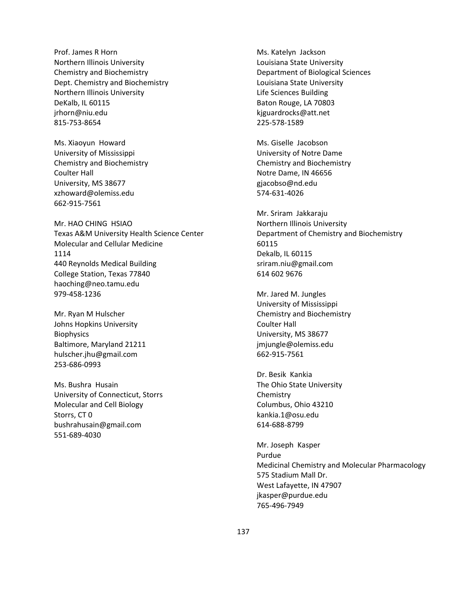Prof. James R Horn Northern Illinois University Chemistry and Biochemistry Dept. Chemistry and Biochemistry Northern Illinois University DeKalb, IL 60115 jrhorn@niu.edu 815-753-8654

Ms. Xiaoyun Howard University of Mississippi Chemistry and Biochemistry Coulter Hall University, MS 38677 xzhoward@olemiss.edu 662-915-7561

Mr. HAO CHING HSIAO Texas A&M University Health Science Center Molecular and Cellular Medicine 1114 440 Reynolds Medical Building College Station, Texas 77840 haoching@neo.tamu.edu 979-458-1236

Mr. Ryan M Hulscher Johns Hopkins University **Biophysics** Baltimore, Maryland 21211 hulscher.jhu@gmail.com 253Ͳ686Ͳ0993

Ms. Bushra Husain University of Connecticut, Storrs Molecular and Cell Biology Storrs, CT 0 bushrahusain@gmail.com 551Ͳ689Ͳ4030

Ms. Katelyn Jackson Louisiana State University Department of Biological Sciences Louisiana State University Life Sciences Building Baton Rouge, LA 70803 kjguardrocks@att.net 225-578-1589

Ms. Giselle Jacobson University of Notre Dame Chemistry and Biochemistry Notre Dame, IN 46656 gjacobso@nd.edu 574-631-4026

Mr. Sriram Jakkaraju Northern Illinois University Department of Chemistry and Biochemistry 60115 Dekalb, IL 60115 sriram.niu@gmail.com 614 602 9676

Mr. Jared M. Jungles University of Mississippi Chemistry and Biochemistry Coulter Hall University, MS 38677 jmjungle@olemiss.edu 662-915-7561

Dr. Besik Kankia The Ohio State University Chemistry Columbus, Ohio 43210 kankia.1@osu.edu 614-688-8799

Mr. Joseph Kasper Purdue Medicinal Chemistry and Molecular Pharmacology 575 Stadium Mall Dr. West Lafayette, IN 47907 jkasper@purdue.edu 765-496-7949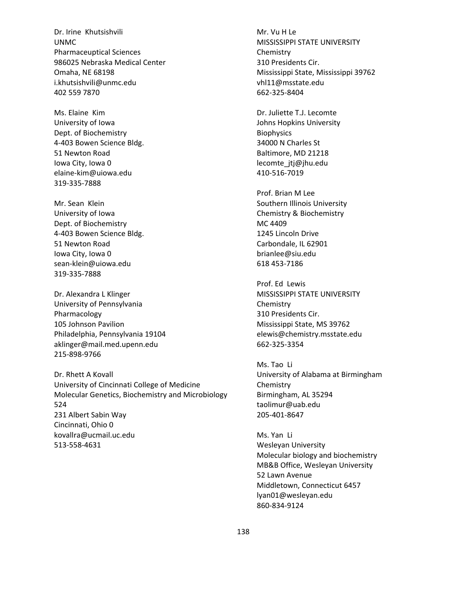Dr. Irine Khutsishvili UNMC Pharmaceuptical Sciences 986025 Nebraska Medical Center Omaha, NE 68198 i.khutsishvili@unmc.edu 402 559 7870

Ms. Elaine Kim University of Iowa Dept. of Biochemistry 4-403 Bowen Science Bldg. 51 Newton Road Iowa City, Iowa 0 elaine-kim@uiowa.edu 319-335-7888

Mr. Sean Klein University of Iowa Dept. of Biochemistry 4-403 Bowen Science Bldg. 51 Newton Road Iowa City, Iowa 0 sean-klein@uiowa.edu 319-335-7888

Dr. Alexandra L Klinger University of Pennsylvania Pharmacology 105 Johnson Pavilion Philadelphia, Pennsylvania 19104 aklinger@mail.med.upenn.edu 215-898-9766

Dr. Rhett A Kovall University of Cincinnati College of Medicine Molecular Genetics, Biochemistry and Microbiology 524 231 Albert Sabin Way Cincinnati, Ohio 0 kovallra@ucmail.uc.edu 513-558-4631

Mr. Vu H Le MISSISSIPPI STATE UNIVERSITY Chemistry 310 Presidents Cir. Mississippi State, Mississippi 39762 vhl11@msstate.edu 662-325-8404

Dr. Juliette T.J. Lecomte Johns Hopkins University **Biophysics** 34000 N Charles St Baltimore, MD 21218 lecomte\_jtj@jhu.edu 410-516-7019

Prof. Brian M Lee Southern Illinois University Chemistry & Biochemistry MC 4409 1245 Lincoln Drive Carbondale, IL 62901 brianlee@siu.edu 618 453Ͳ7186

Prof. Ed Lewis MISSISSIPPI STATE UNIVERSITY Chemistry 310 Presidents Cir. Mississippi State, MS 39762 elewis@chemistry.msstate.edu 662-325-3354

Ms. Tao Li University of Alabama at Birmingham Chemistry Birmingham, AL 35294 taolimur@uab.edu 205-401-8647

Ms. Yan Li Wesleyan University Molecular biology and biochemistry MB&B Office, Wesleyan University 52 Lawn Avenue Middletown, Connecticut 6457 lyan01@wesleyan.edu 860-834-9124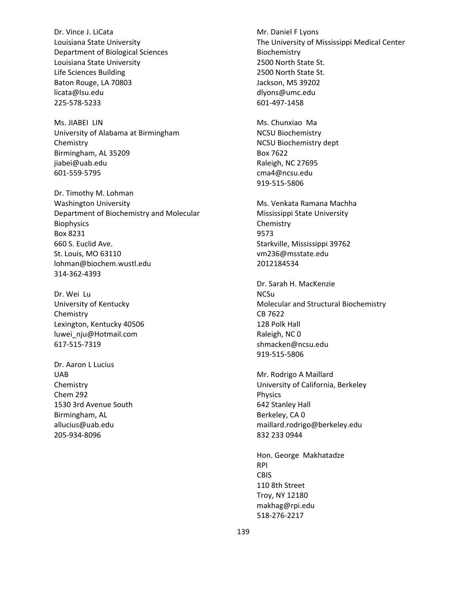Dr. Vince J. LiCata Louisiana State University Department of Biological Sciences Louisiana State University Life Sciences Building Baton Rouge, LA 70803 licata@lsu.edu 225-578-5233

Ms. JIABEI LIN University of Alabama at Birmingham Chemistry Birmingham, AL 35209 jiabei@uab.edu 601-559-5795

Dr. Timothy M. Lohman Washington University Department of Biochemistry and Molecular **Biophysics** Box 8231 660 S. Euclid Ave. St. Louis, MO 63110 lohman@biochem.wustl.edu 314-362-4393

Dr. Wei Lu University of Kentucky Chemistry Lexington, Kentucky 40506 luwei\_nju@Hotmail.com 617-515-7319

Dr. Aaron L Lucius UAB Chemistry Chem 292 1530 3rd Avenue South Birmingham, AL allucius@uab.edu 205-934-8096

Mr. Daniel F Lyons The University of Mississippi Medical Center Biochemistry 2500 North State St. 2500 North State St. Jackson, MS 39202 dlyons@umc.edu 601-497-1458

Ms. Chunxiao Ma NCSU Biochemistry NCSU Biochemistry dept Box 7622 Raleigh, NC 27695 cma4@ncsu.edu 919-515-5806

Ms. Venkata Ramana Machha Mississippi State University Chemistry 9573 Starkville, Mississippi 39762 vm236@msstate.edu 2012184534

Dr. Sarah H. MacKenzie NCSu Molecular and Structural Biochemistry CB 7622 128 Polk Hall Raleigh, NC 0 shmacken@ncsu.edu 919-515-5806

Mr. Rodrigo A Maillard University of California, Berkeley Physics 642 Stanley Hall Berkeley, CA 0 maillard.rodrigo@berkeley.edu 832 233 0944

Hon. George Makhatadze RPI CBIS 110 8th Street Troy, NY 12180 makhag@rpi.edu 518-276-2217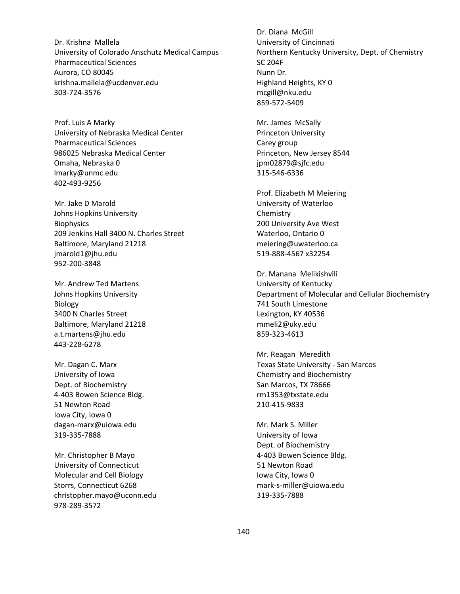Dr. Krishna Mallela University of Colorado Anschutz Medical Campus Pharmaceutical Sciences Aurora, CO 80045 krishna.mallela@ucdenver.edu 303-724-3576

Prof. Luis A Marky University of Nebraska Medical Center Pharmaceutical Sciences 986025 Nebraska Medical Center Omaha, Nebraska 0 lmarky@unmc.edu 402-493-9256

Mr. Jake D Marold Johns Hopkins University **Biophysics** 209 Jenkins Hall 3400 N. Charles Street Baltimore, Maryland 21218 jmarold1@jhu.edu 952-200-3848

Mr. Andrew Ted Martens Johns Hopkins University Biology 3400 N Charles Street Baltimore, Maryland 21218 a.t.martens@jhu.edu 443-228-6278

Mr. Dagan C. Marx University of Iowa Dept. of Biochemistry 4-403 Bowen Science Bldg. 51 Newton Road Iowa City, Iowa 0 dagan-marx@uiowa.edu 319-335-7888

Mr. Christopher B Mayo University of Connecticut Molecular and Cell Biology Storrs, Connecticut 6268 christopher.mayo@uconn.edu 978-289-3572

Dr. Diana McGill University of Cincinnati Northern Kentucky University, Dept. of Chemistry SC 204F Nunn Dr. Highland Heights, KY 0 mcgill@nku.edu 859-572-5409

Mr. James McSally Princeton University Carey group Princeton, New Jersey 8544 jpm02879@sjfc.edu 315-546-6336

Prof. Elizabeth M Meiering University of Waterloo Chemistry 200 University Ave West Waterloo, Ontario 0 meiering@uwaterloo.ca 519Ͳ888Ͳ4567 x32254

Dr. Manana Melikishvili University of Kentucky Department of Molecular and Cellular Biochemistry 741 South Limestone Lexington, KY 40536 mmeli2@uky.edu 859-323-4613

Mr. Reagan Meredith Texas State University - San Marcos Chemistry and Biochemistry San Marcos, TX 78666 rm1353@txstate.edu 210-415-9833

Mr. Mark S. Miller University of Iowa Dept. of Biochemistry 4-403 Bowen Science Bldg. 51 Newton Road Iowa City, Iowa 0 mark-s-miller@uiowa.edu 319-335-7888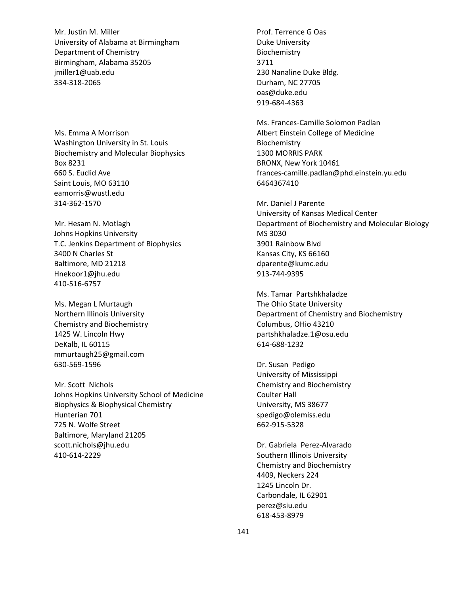Mr. Justin M. Miller University of Alabama at Birmingham Department of Chemistry Birmingham, Alabama 35205 jmiller1@uab.edu 334-318-2065

Ms. Emma A Morrison Washington University in St. Louis Biochemistry and Molecular Biophysics Box 8231 660 S. Euclid Ave Saint Louis, MO 63110 eamorris@wustl.edu 314-362-1570

Mr. Hesam N. Motlagh Johns Hopkins University T.C. Jenkins Department of Biophysics 3400 N Charles St Baltimore, MD 21218 Hnekoor1@jhu.edu 410-516-6757

Ms. Megan L Murtaugh Northern Illinois University Chemistry and Biochemistry 1425 W. Lincoln Hwy DeKalb, IL 60115 mmurtaugh25@gmail.com 630-569-1596

Mr. Scott Nichols Johns Hopkins University School of Medicine Biophysics & Biophysical Chemistry Hunterian 701 725 N. Wolfe Street Baltimore, Maryland 21205 scott.nichols@jhu.edu 410-614-2229

Prof. Terrence G Oas Duke University Biochemistry 3711 230 Nanaline Duke Bldg. Durham, NC 27705 oas@duke.edu 919-684-4363

Ms. Frances-Camille Solomon Padlan Albert Einstein College of Medicine Biochemistry 1300 MORRIS PARK BRONX, New York 10461 frances-camille.padlan@phd.einstein.yu.edu 6464367410

Mr. Daniel J Parente University of Kansas Medical Center Department of Biochemistry and Molecular Biology MS 3030 3901 Rainbow Blvd Kansas City, KS 66160 dparente@kumc.edu 913-744-9395

Ms. Tamar Partshkhaladze The Ohio State University Department of Chemistry and Biochemistry Columbus, OHio 43210 partshkhaladze.1@osu.edu 614Ͳ688Ͳ1232

Dr. Susan Pedigo University of Mississippi Chemistry and Biochemistry Coulter Hall University, MS 38677 spedigo@olemiss.edu 662-915-5328

Dr. Gabriela Perez-Alvarado Southern Illinois University Chemistry and Biochemistry 4409, Neckers 224 1245 Lincoln Dr. Carbondale, IL 62901 perez@siu.edu 618-453-8979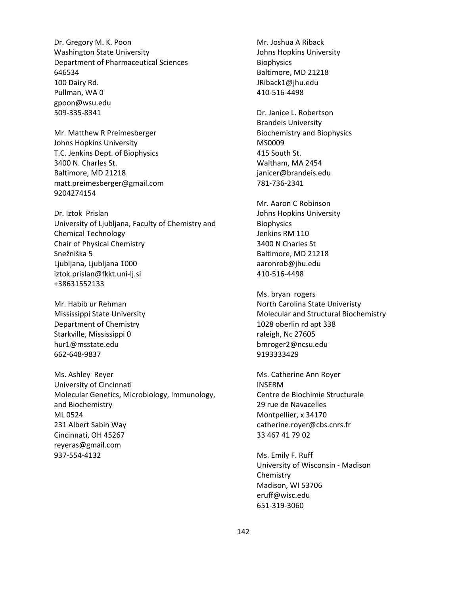Dr. Gregory M. K. Poon Washington State University Department of Pharmaceutical Sciences 646534 100 Dairy Rd. Pullman, WA 0 gpoon@wsu.edu 509-335-8341

Mr. Matthew R Preimesberger Johns Hopkins University T.C. Jenkins Dept. of Biophysics 3400 N. Charles St. Baltimore, MD 21218 matt.preimesberger@gmail.com 9204274154

Dr. Iztok Prislan University of Ljubljana, Faculty of Chemistry and Chemical Technology Chair of Physical Chemistry Snežniška 5 Ljubljana, Ljubljana 1000 iztok.prislan@fkkt.uni-lj.si +38631552133

Mr. Habib ur Rehman Mississippi State University Department of Chemistry Starkville, Mississippi 0 hur1@msstate.edu 662-648-9837

Ms. Ashley Reyer University of Cincinnati Molecular Genetics, Microbiology, Immunology, and Biochemistry ML 0524 231 Albert Sabin Way Cincinnati, OH 45267 reyeras@gmail.com 937-554-4132

Mr. Joshua A Riback Johns Hopkins University **Biophysics** Baltimore, MD 21218 JRiback1@jhu.edu 410-516-4498

Dr. Janice L. Robertson Brandeis University Biochemistry and Biophysics MS0009 415 South St. Waltham, MA 2454 janicer@brandeis.edu 781-736-2341

Mr. Aaron C Robinson Johns Hopkins University **Biophysics** Jenkins RM 110 3400 N Charles St Baltimore, MD 21218 aaronrob@jhu.edu 410-516-4498

Ms. bryan rogers North Carolina State Univeristy Molecular and Structural Biochemistry 1028 oberlin rd apt 338 raleigh, Nc 27605 bmroger2@ncsu.edu 9193333429

Ms. Catherine Ann Royer INSERM Centre de Biochimie Structurale 29 rue de Navacelles Montpellier, x 34170 catherine.royer@cbs.cnrs.fr 33 467 41 79 02

Ms. Emily F. Ruff University of Wisconsin - Madison Chemistry Madison, WI 53706 eruff@wisc.edu 651-319-3060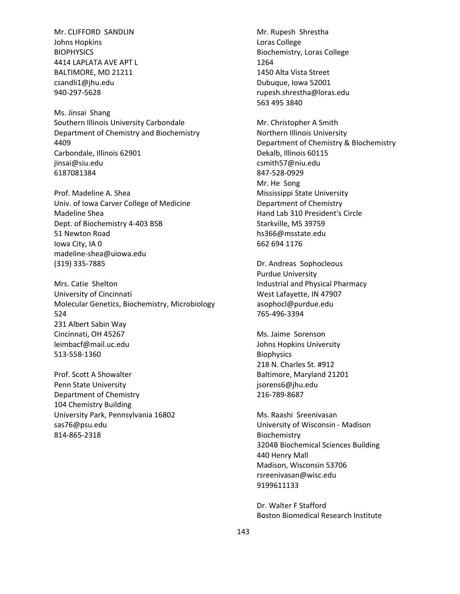Mr. CLIFFORD SANDLIN Johns Hopkins **BIOPHYSICS** 4414 LAPLATA AVE APT L BALTIMORE, MD 21211 csandli1@jhu.edu 940-297-5628

Ms. Jinsai Shang Southern Illinois University Carbondale Department of Chemistry and Biochemistry 4409 Carbondale, Illinois 62901 jinsai@siu.edu 6187081384

Prof. Madeline A. Shea Univ. of Iowa Carver College of Medicine Madeline Shea Dept. of Biochemistry 4-403 BSB 51 Newton Road Iowa City, IA 0 madeline-shea@uiowa.edu (319) 335-7885

Mrs. Catie Shelton University of Cincinnati Molecular Genetics, Biochemistry, Microbiology 524 231 Albert Sabin Way Cincinnati, OH 45267 leimbacf@mail.uc.edu 513-558-1360

Prof. Scott A Showalter Penn State University Department of Chemistry 104 Chemistry Building University Park, Pennsylvania 16802 sas76@psu.edu 814-865-2318

Mr. Rupesh Shrestha Loras College Biochemistry, Loras College 1264 1450 Alta Vista Street Dubuque, Iowa 52001 rupesh.shrestha@loras.edu 563 495 3840

Mr. Christopher A Smith Northern Illinois University Department of Chemistry & BIochemistry Dekalb, Illinois 60115 csmith57@niu.edu 847-528-0929 Mr. He Song Mississippi State University Department of Chemistry Hand Lab 310 President's Circle Starkville, MS 39759 hs366@msstate.edu 662 694 1176

Dr. Andreas Sophocleous Purdue University Industrial and Physical Pharmacy West Lafayette, IN 47907 asophocl@purdue.edu 765Ͳ496Ͳ3394

Ms. Jaime Sorenson Johns Hopkins University **Biophysics** 218 N. Charles St. #912 Baltimore, Maryland 21201 jsorens6@jhu.edu 216-789-8687

Ms. Raashi Sreenivasan University of Wisconsin - Madison Biochemistry 3204B Biochemical Sciences Building 440 Henry Mall Madison, Wisconsin 53706 rsreenivasan@wisc.edu 9199611133

Dr. Walter F Stafford Boston Biomedical Research Institute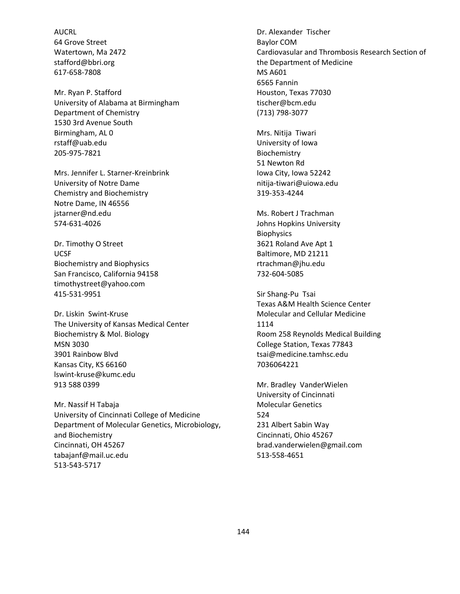AUCRL 64 Grove Street Watertown, Ma 2472 stafford@bbri.org 617-658-7808

Mr. Ryan P. Stafford University of Alabama at Birmingham Department of Chemistry 1530 3rd Avenue South Birmingham, AL 0 rstaff@uab.edu 205Ͳ975Ͳ7821

Mrs. Jennifer L. Starner-Kreinbrink University of Notre Dame Chemistry and Biochemistry Notre Dame, IN 46556 jstarner@nd.edu 574Ͳ631Ͳ4026

Dr. Timothy O Street UCSF Biochemistry and Biophysics San Francisco, California 94158 timothystreet@yahoo.com 415-531-9951

Dr. Liskin Swint-Kruse The University of Kansas Medical Center Biochemistry & Mol. Biology MSN 3030 3901 Rainbow Blvd Kansas City, KS 66160 lswintͲkruse@kumc.edu 913 588 0399

Mr. Nassif H Tabaja University of Cincinnati College of Medicine Department of Molecular Genetics, Microbiology, and Biochemistry Cincinnati, OH 45267 tabajanf@mail.uc.edu 513-543-5717

Dr. Alexander Tischer Baylor COM Cardiovasular and Thrombosis Research Section of the Department of Medicine MS A601 6565 Fannin Houston, Texas 77030 tischer@bcm.edu (713) 798-3077

Mrs. Nitija Tiwari University of Iowa Biochemistry 51 Newton Rd Iowa City, Iowa 52242 nitija-tiwari@uiowa.edu 319-353-4244

Ms. Robert J Trachman Johns Hopkins University **Biophysics** 3621 Roland Ave Apt 1 Baltimore, MD 21211 rtrachman@jhu.edu 732-604-5085

Sir Shang-Pu Tsai Texas A&M Health Science Center Molecular and Cellular Medicine 1114 Room 258 Reynolds Medical Building College Station, Texas 77843 tsai@medicine.tamhsc.edu 7036064221

Mr. Bradley VanderWielen University of Cincinnati Molecular Genetics 524 231 Albert Sabin Way Cincinnati, Ohio 45267 brad.vanderwielen@gmail.com 513-558-4651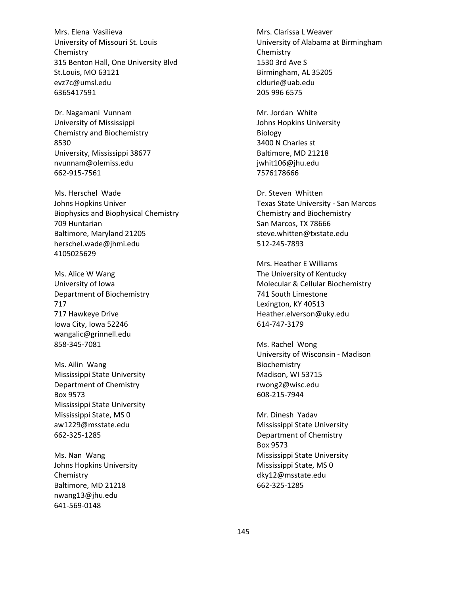Mrs. Elena Vasilieva University of Missouri St. Louis Chemistry 315 Benton Hall, One University Blvd St.Louis, MO 63121 evz7c@umsl.edu 6365417591

Dr. Nagamani Vunnam University of Mississippi Chemistry and Biochemistry 8530 University, Mississippi 38677 nvunnam@olemiss.edu 662-915-7561

Ms. Herschel Wade Johns Hopkins Univer Biophysics and Biophysical Chemistry 709 Huntarian Baltimore, Maryland 21205 herschel.wade@jhmi.edu 4105025629

Ms. Alice W Wang University of Iowa Department of Biochemistry 717 717 Hawkeye Drive Iowa City, Iowa 52246 wangalic@grinnell.edu 858-345-7081

Ms. Ailin Wang Mississippi State University Department of Chemistry Box 9573 Mississippi State University Mississippi State, MS 0 aw1229@msstate.edu 662-325-1285

Ms. Nan Wang Johns Hopkins University Chemistry Baltimore, MD 21218 nwang13@jhu.edu 641-569-0148

Mrs. Clarissa L Weaver University of Alabama at Birmingham Chemistry 1530 3rd Ave S Birmingham, AL 35205 cldurie@uab.edu 205 996 6575

Mr. Jordan White Johns Hopkins University Biology 3400 N Charles st Baltimore, MD 21218 jwhit106@jhu.edu 7576178666

Dr. Steven Whitten Texas State University - San Marcos Chemistry and Biochemistry San Marcos, TX 78666 steve.whitten@txstate.edu 512-245-7893

Mrs. Heather E Williams The University of Kentucky Molecular & Cellular Biochemistry 741 South Limestone Lexington, KY 40513 Heather.elverson@uky.edu 614-747-3179

Ms. Rachel Wong University of Wisconsin - Madison Biochemistry Madison, WI 53715 rwong2@wisc.edu 608-215-7944

Mr. Dinesh Yadav Mississippi State University Department of Chemistry Box 9573 Mississippi State University Mississippi State, MS 0 dky12@msstate.edu 662-325-1285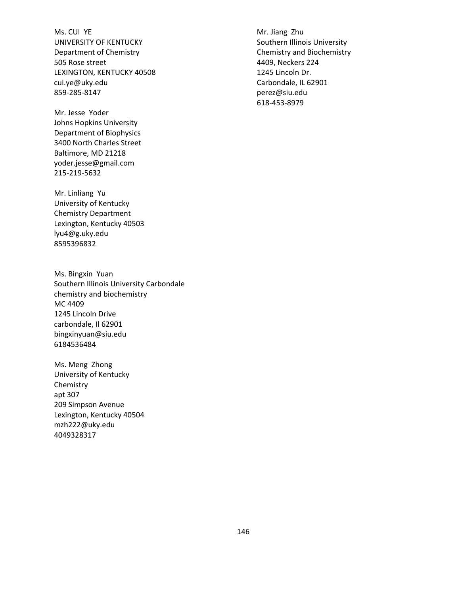Ms. CUI YE UNIVERSITY OF KENTUCKY Department of Chemistry 505 Rose street LEXINGTON, KENTUCKY 40508 cui.ye@uky.edu 859-285-8147

Mr. Jesse Yoder Johns Hopkins University Department of Biophysics 3400 North Charles Street Baltimore, MD 21218 yoder.jesse@gmail.com 215-219-5632

Mr. Linliang Yu University of Kentucky Chemistry Department Lexington, Kentucky 40503 lyu4@g.uky.edu 8595396832

Ms. Bingxin Yuan Southern Illinois University Carbondale chemistry and biochemistry MC 4409 1245 Lincoln Drive carbondale, Il 62901 bingxinyuan@siu.edu 6184536484

Ms. Meng Zhong University of Kentucky Chemistry apt 307 209 Simpson Avenue Lexington, Kentucky 40504 mzh222@uky.edu 4049328317

Mr. Jiang Zhu Southern Illinois University Chemistry and Biochemistry 4409, Neckers 224 1245 Lincoln Dr. Carbondale, IL 62901 perez@siu.edu 618-453-8979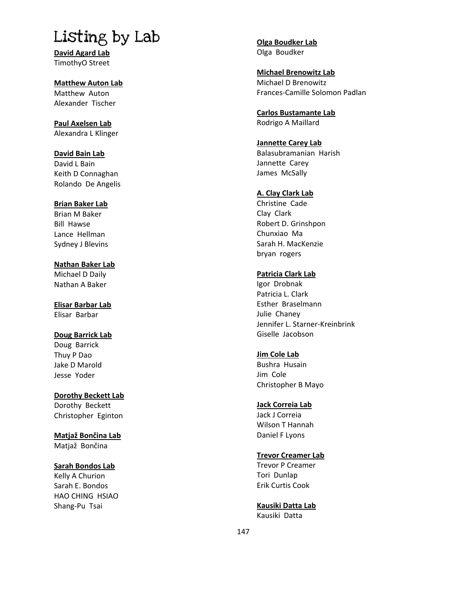# Listing by Lab

**David Agard Lab** TimothyO Street

#### **Matthew Auton Lab** Matthew Auton Alexander Tischer

**Paul Axelsen Lab** Alexandra L Klinger

# **David Bain Lab**

David L Bain Keith D Connaghan Rolando De Angelis

## **Brian Baker Lab**

Brian M Baker **Bill Hawse** Lance Hellman Sydney J Blevins

**Nathan Baker Lab** Michael D Daily Nathan A Baker

**Elisar Barbar Lab** Elisar Barbar

# **Doug Barrick Lab**

Doug Barrick Thuy P Dao Jake D Marold Jesse Yoder

**Dorothy Beckett Lab** Dorothy Beckett Christopher Eginton

**Matja> Bonēina Lab** Matjaž Bončina

## **Sarah Bondos Lab**

Kelly A Churion Sarah E. Bondos HAO CHING HSIAO Shang-Pu Tsai

**Olga Boudker Lab** Olga Boudker

#### **Michael Brenowitz Lab** Michael D Brenowitz Frances-Camille Solomon Padlan

**Carlos Bustamante Lab** Rodrigo A Maillard

## **Jannette Carey Lab**

Balasubramanian Harish Jannette Carey James McSally

## **A. Clay Clark Lab**

Christine Cade Clay Clark Robert D. Grinshpon Chunxiao Ma Sarah H. MacKenzie bryan rogers

## **Patricia Clark Lab**

Igor Drobnak Patricia L. Clark Esther Braselmann Julie Chaney Jennifer L. Starner-Kreinbrink Giselle Jacobson

## **Jim Cole Lab**

Bushra Husain Jim Cole Christopher B Mayo

## **Jack Correia Lab**

Jack J Correia Wilson T Hannah Daniel F Lyons

## **Trevor Creamer Lab**

Trevor P Creamer Tori Dunlap Erik Curtis Cook

**Kausiki Datta Lab** Kausiki Datta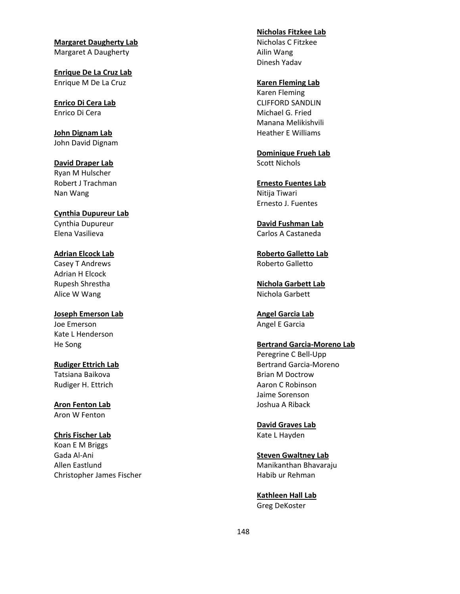**Margaret Daugherty Lab** Margaret A Daugherty

**Enrique De La Cruz Lab** Enrique M De La Cruz

**Enrico Di Cera Lab** Enrico Di Cera

**John Dignam Lab** John David Dignam

**David Draper Lab** Ryan M Hulscher Robert J Trachman Nan Wang

**Cynthia Dupureur Lab** Cynthia Dupureur Elena Vasilieva

**Adrian Elcock Lab** Casey T Andrews Adrian H Elcock Rupesh Shrestha Alice W Wang

**Joseph Emerson Lab** Joe Emerson Kate L Henderson He Song

**Rudiger Ettrich Lab** Tatsiana Baikova Rudiger H. Ettrich

**Aron Fenton Lab** Aron W Fenton

#### **Chris Fischer Lab**

Koan E M Briggs Gada Al-Ani Allen Eastlund Christopher James Fischer **Nicholas Fitzkee Lab**

Nicholas C Fitzkee Ailin Wang Dinesh Yadav

#### **Karen Fleming Lab**

Karen Fleming CLIFFORD SANDLIN Michael G. Fried Manana Melikishvili Heather E Williams

**Dominique Frueh Lab** Scott Nichols

**Ernesto Fuentes Lab** Nitija Tiwari Ernesto J. Fuentes

**David Fushman Lab** Carlos A Castaneda

**Roberto Galletto Lab** Roberto Galletto

**Nichola Garbett Lab** Nichola Garbett

**Angel Garcia Lab** Angel E Garcia

#### **Bertrand Garcia-Moreno Lab**

Peregrine C Bell-Upp Bertrand Garcia-Moreno Brian M Doctrow Aaron C Robinson Jaime Sorenson Joshua A Riback

**David Graves Lab**

Kate L Hayden

**Steven Gwaltney Lab** Manikanthan Bhavaraju Habib ur Rehman

**Kathleen Hall Lab** Greg DeKoster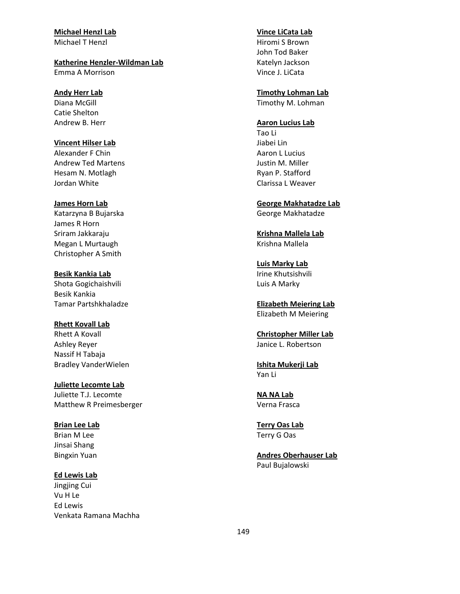## **Michael Henzl Lab**

Michael T Henzl

#### **Katherine HenzlerͲWildman Lab**

Emma A Morrison

#### **Andy Herr Lab**

Diana McGill Catie Shelton Andrew B. Herr

#### **Vincent Hilser Lab**

Alexander F Chin Andrew Ted Martens Hesam N. Motlagh Jordan White

#### **James Horn Lab**

Katarzyna B Bujarska James R Horn Sriram Jakkaraju Megan L Murtaugh Christopher A Smith

**Besik Kankia Lab** Shota Gogichaishvili Besik Kankia Tamar Partshkhaladze

#### **Rhett Kovall Lab**

Rhett A Kovall Ashley Reyer Nassif H Tabaja Bradley VanderWielen

### **Juliette Lecomte Lab** Juliette T.J. Lecomte Matthew R Preimesberger

## **Brian Lee Lab**

Brian M Lee Jinsai Shang Bingxin Yuan

#### **Ed Lewis Lab**

Jingjing Cui Vu H Le Ed Lewis Venkata Ramana Machha

#### **Vince LiCata Lab**

Hiromi S Brown John Tod Baker Katelyn Jackson Vince J. LiCata

## **Timothy Lohman Lab**

Timothy M. Lohman

## **Aaron Lucius Lab**

Tao Li Jiabei Lin Aaron L Lucius Justin M. Miller Ryan P. Stafford Clarissa L Weaver

**George Makhatadze Lab** George Makhatadze

**Krishna Mallela Lab** Krishna Mallela

## **Luis Marky Lab** Irine Khutsishvili Luis A Marky

**Elizabeth Meiering Lab** Elizabeth M Meiering

#### **Christopher Miller Lab** Janice L. Robertson

**Ishita Mukerji Lab** Yan Li

**NA NA Lab** Verna Frasca

**Terry Oas Lab** Terry G Oas

**Andres Oberhauser Lab** Paul Bujalowski